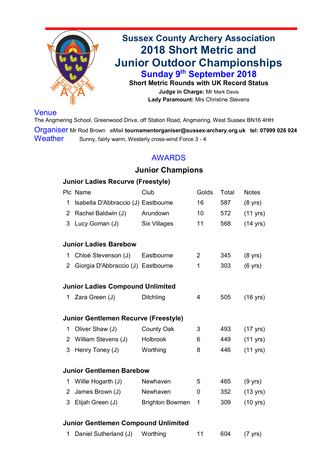

**Sussex County Archery Association 2018 Short Metric and Junior Outdoor Championships Sunday 9th September 2018 Short Metric Rounds with UK Record Status Judge in Charge:** Mr Mark Davis

The Angmering School, Greenwood Drive, off Station Road, Angmering, West Sussex BN16 4HH Organiser Mr Rod Brown eMail **tournamentorganiser@sussex-archery.org.uk tel: 07999 026 024** Weather Sunny, fairly warm, Westerly cross-wind Force 3 - 4

**Lady Paramount:** Mrs Christine Stevens

# Venue

# AWARDS

# **Junior Champions**

# **Junior Ladies Recurve (Freestyle)**

| Plc Name                              | Club                | Golds Total |     | <b>Notes</b>       |
|---------------------------------------|---------------------|-------------|-----|--------------------|
| 1 Isabella D'Abbraccio (J) Eastbourne |                     | 16          | 587 | $(8 \text{ vrs})$  |
| 2 Rachel Baldwin (J)                  | Arundown            | 10          | 572 | $(11 \text{ yrs})$ |
| 3 Lucy Goman (J)                      | <b>Six Villages</b> | 11          | 568 | (14 yrs)           |

# **Junior Ladies Barebow**

| 1              | Chloé Stevenson (J) Eastbourne              |                        | $\overline{2}$ | 345 | $(8 \text{ yrs})$  |
|----------------|---------------------------------------------|------------------------|----------------|-----|--------------------|
| 2 <sup>1</sup> | Giorgia D'Abbraccio (J) Eastbourne          |                        | 1              | 303 | $(6 \text{ yrs})$  |
|                | <b>Junior Ladies Compound Unlimited</b>     |                        |                |     |                    |
|                | 1 Zara Green (J)                            | <b>Ditchling</b>       | 4              | 505 | $(16 \text{ yrs})$ |
|                | <b>Junior Gentlemen Recurve (Freestyle)</b> |                        |                |     |                    |
|                |                                             |                        |                |     |                    |
| $\mathbf 1$    | Oliver Shaw (J)                             | <b>County Oak</b>      | 3              | 493 | $(17 \text{ yrs})$ |
|                | 2 William Stevens (J)                       | <b>Holbrook</b>        | 6              | 449 | $(11 \text{ yrs})$ |
|                | 3 Henry Toney (J)                           | Worthing               | 8              | 446 | $(11 \text{ yrs})$ |
|                |                                             |                        |                |     |                    |
|                | <b>Junior Gentlemen Barebow</b>             |                        |                |     |                    |
|                | Willie Hogarth (J)                          | <b>Newhaven</b>        | 5              | 465 | $(9 \text{ yrs})$  |
| 2 <sup>1</sup> | James Brown (J)                             | Newhaven               | $\bf{0}$       | 352 | $(13 \text{ yrs})$ |
| $\mathfrak{S}$ | Elijah Green (J)                            | <b>Brighton Bowmen</b> | 1              | 309 | $(10 \text{ yrs})$ |
|                |                                             |                        |                |     |                    |

#### **Junior Gentlemen Compound Unlimited**

1 Daniel Sutherland (J) Worthing 11 604 (7 yrs)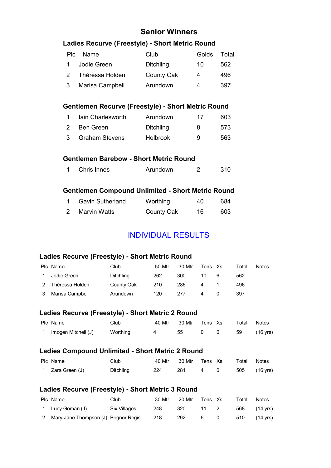# **Senior Winners**

# **Ladies Recurve (Freestyle) - Short Metric Round**

|               | Plc Name               | Club              | Golds | Total |
|---------------|------------------------|-------------------|-------|-------|
|               | <b>Jodie Green</b>     | <b>Ditchling</b>  | 10    | 562   |
| $\mathcal{P}$ | Thérèssa Holden        | <b>County Oak</b> |       | 496   |
| $\mathbf{3}$  | <b>Marisa Campbell</b> | Arundown          | Δ.    | 397   |

## **Gentlemen Recurve (Freestyle) - Short Metric Round**

|               | lain Charlesworth     | Arundown         | 17 | 603 |
|---------------|-----------------------|------------------|----|-----|
| $\mathcal{P}$ | Ben Green             | <b>Ditchling</b> | 8  | 573 |
| $\mathcal{S}$ | <b>Graham Stevens</b> | <b>Holbrook</b>  | 9  | 563 |

## **Gentlemen Barebow - Short Metric Round**

| <b>Chris Innes</b> | Arundown |  | 310 |
|--------------------|----------|--|-----|
|--------------------|----------|--|-----|

# **Gentlemen Compound Unlimited - Short Metric Round**

| <b>Gavin Sutherland</b> | Worthing          | 40 | 684 |
|-------------------------|-------------------|----|-----|
| <b>Marvin Watts</b>     | <b>County Oak</b> | 16 | 603 |

# INDIVIDUAL RESULTS

### **Ladies Recurve (Freestyle) - Short Metric Round**

| Plc Name        | Club              | 50 Mtr | 30 Mtr | Tens Xs |   | ™otal | <b>Notes</b> |
|-----------------|-------------------|--------|--------|---------|---|-------|--------------|
| Jodie Green     | <b>Ditchling</b>  | 262    | 300    | 10      | 6 | 562   |              |
| Thérèssa Holden | <b>County Oak</b> | 210    | 286    | 4       |   | 496   |              |
| Marisa Campbell | Arundown          | 120    | 277    |         |   | 397   |              |

# **Ladies Recurve (Freestyle) - Short Metric 2 Round**

| Plc Name            | Club     |          | 40 Mtr 30 Mtr Tens Xs |                  | Total Notes |             |
|---------------------|----------|----------|-----------------------|------------------|-------------|-------------|
| Imogen Mitchell (J) | Worthing | $\sim$ 4 | 55                    | $\overline{0}$ 0 |             | 59 (16 yrs) |

#### **Ladies Compound Unlimited - Short Metric 2 Round**

| Plc Name         | Club             |     | 40 Mtr 30 Mtr Tens Xs |             | Total Notes  |  |
|------------------|------------------|-----|-----------------------|-------------|--------------|--|
| 1 Zara Green (J) | <b>Ditchling</b> | 224 | 281                   | $4\qquad 0$ | 505 (16 yrs) |  |

#### **Ladies Recurve (Freestyle) - Short Metric 3 Round**

| Plc Name                              | Club         | 30 Mtr | 20 Mtr | Tens Xs | Total | <b>Notes</b> |
|---------------------------------------|--------------|--------|--------|---------|-------|--------------|
| 1 Lucy Goman (J)                      | Six Villages | 248    | 320    | 11 2    |       | 568 (14 yrs) |
| 2 Mary-Jane Thompson (J) Bognor Regis |              | 218    | 292    | 6       |       | 510 (14 yrs) |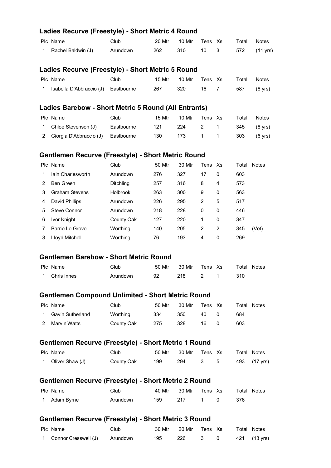## **Ladies Recurve (Freestyle) - Short Metric 4 Round**

| Plc Name             | Club.    |     | 20 Mtr 10 Mtr Tens Xs |  | Total Notes |                   |
|----------------------|----------|-----|-----------------------|--|-------------|-------------------|
| 1 Rachel Baldwin (J) | Arundown | 262 | 310                   |  |             | 10 3 572 (11 yrs) |

#### **Ladies Recurve (Freestyle) - Short Metric 5 Round**

| Plc Name                            | Club |     | 15 Mtr 10 Mtr Tens Xs |      | Total       | <b>Notes</b> |
|-------------------------------------|------|-----|-----------------------|------|-------------|--------------|
| Isabella D'Abbraccio (J) Eastbourne |      | 267 | - 320                 | 16 7 | 587 (8 yrs) |              |

#### **Ladies Barebow - Short Metric 5 Round (All Entrants)**

| Plc Name                             | Club       | 15 Mtr | 10 Mtr | Tens Xs |             | Total       | <b>Notes</b>      |
|--------------------------------------|------------|--------|--------|---------|-------------|-------------|-------------------|
| 1 Chloé Stevenson (J)                | Eastbourne | 121    | 224    |         | 2 1         | 345 (8 yrs) |                   |
| 2 Giorgia D'Abbraccio (J) Eastbourne |            | 130    | 173    |         | $1 \quad 1$ | $303$ .     | $(6 \text{ yrs})$ |

## **Gentlemen Recurve (Freestyle) - Short Metric Round**

|   | Plc Name                 | Club              | 50 Mtr | 30 Mtr | Tens Xs        |                | Total | <b>Notes</b> |
|---|--------------------------|-------------------|--------|--------|----------------|----------------|-------|--------------|
|   | <b>lain Charlesworth</b> | Arundown          | 276    | 327    | 17             | $\overline{0}$ | 603   |              |
| 2 | <b>Ben Green</b>         | <b>Ditchling</b>  | 257    | 316    | 8              | $\overline{4}$ | 573   |              |
| 3 | <b>Graham Stevens</b>    | <b>Holbrook</b>   | 263    | 300    | 9              | $\overline{0}$ | 563   |              |
| 4 | <b>David Phillips</b>    | Arundown          | 226    | 295    | $\overline{2}$ | 5              | 517   |              |
| 5 | <b>Steve Connor</b>      | Arundown          | 218    | 228    | 0              | $\overline{0}$ | 446   |              |
| 6 | <b>Ivor Knight</b>       | <b>County Oak</b> | 127    | 220    | 1              | $\overline{0}$ | 347   |              |
|   | <b>Barrie Le Grove</b>   | Worthing          | 140    | 205    | $\overline{2}$ | $\overline{2}$ | 345   | (Vet)        |
| 8 | <b>Lloyd Mitchell</b>    | Worthing          | 76     | 193    | $\overline{4}$ | $\overline{0}$ | 269   |              |

## **Gentlemen Barebow - Short Metric Round**

| Plc Name      | Club     | 50 Mtr | 30 Mtr | Tens Xs        | <b>Total Notes</b> |
|---------------|----------|--------|--------|----------------|--------------------|
| 1 Chris Innes | Arundown | 92     | 218    | $\overline{2}$ | 310                |

#### **Gentlemen Compound Unlimited - Short Metric Round**

| Plc Name           | Club              | 50 Mtr | 30 Mtr | Tens Xs | Total | Notes |
|--------------------|-------------------|--------|--------|---------|-------|-------|
| 1 Gavin Sutherland | Worthing          | 334    | 350    | 40      | 684   |       |
| 2 Marvin Watts     | <b>County Oak</b> | 275    | 328    | 16      | 603   |       |

#### **Gentlemen Recurve (Freestyle) - Short Metric 1 Round**

| Plc Name          | Club       |     | 50 Mtr 30 Mtr Tens Xs |     |  | Total Notes  |
|-------------------|------------|-----|-----------------------|-----|--|--------------|
| 1 Oliver Shaw (J) | County Oak | 199 | 294                   | 3 5 |  | 493 (17 yrs) |

#### **Gentlemen Recurve (Freestyle) - Short Metric 2 Round**

| Plc Name     | Club     | 40 Mtr | 30 Mtr Tens Xs |                                                   | <b>Total Notes</b> |  |
|--------------|----------|--------|----------------|---------------------------------------------------|--------------------|--|
| 1 Adam Byrne | Arundown | 159    | 217            | $\begin{array}{ccc} & 1 & \mathbf{0} \end{array}$ | -376               |  |

#### **Gentlemen Recurve (Freestyle) - Short Metric 3 Round**

| Plc Name                        | Club | 30 Mtr 20 Mtr Tens Xs |  | Total Notes  |
|---------------------------------|------|-----------------------|--|--------------|
| 1 Connor Cresswell (J) Arundown |      | 195 226 3 0           |  | 421 (13 yrs) |